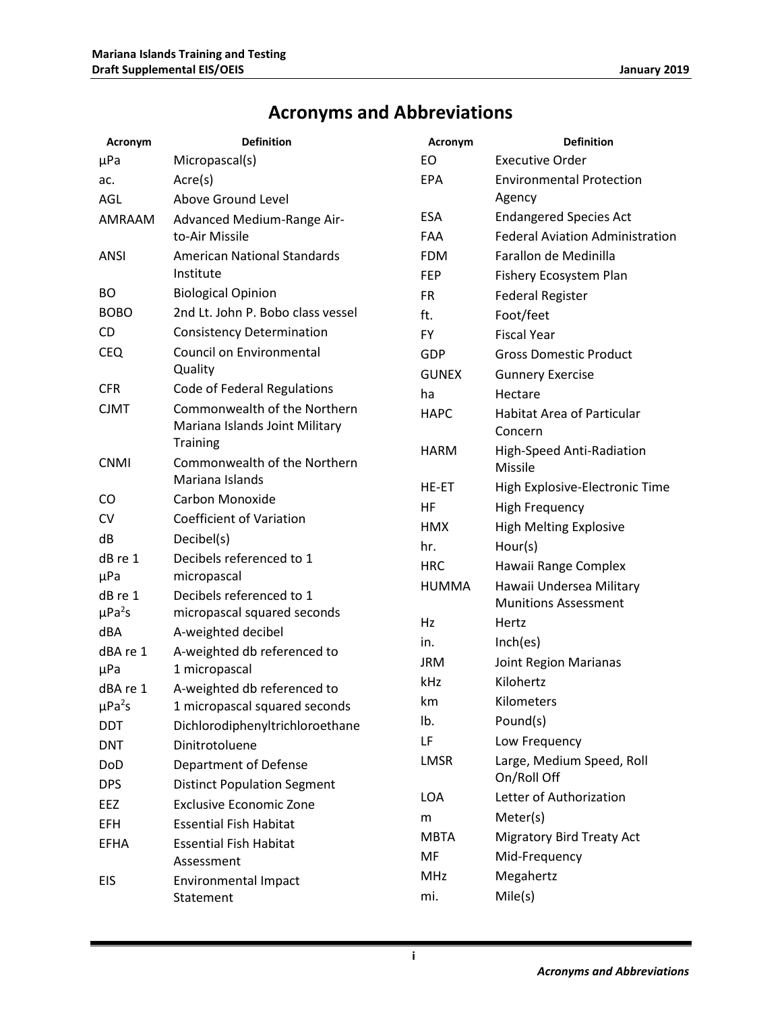## **Acronyms and Abbreviations**

| Acronym                 | <b>Definition</b>                                              | Acronym      | <b>Definition</b>                            |
|-------------------------|----------------------------------------------------------------|--------------|----------------------------------------------|
| μPa                     | Micropascal(s)                                                 | EO           | <b>Executive Order</b>                       |
| ac.                     | Arcre(s)                                                       | <b>EPA</b>   | <b>Environmental Protection</b>              |
| <b>AGL</b>              | Above Ground Level                                             |              | Agency                                       |
| AMRAAM                  | Advanced Medium-Range Air-                                     | ESA          | <b>Endangered Species Act</b>                |
|                         | to-Air Missile                                                 | <b>FAA</b>   | <b>Federal Aviation Administration</b>       |
| <b>ANSI</b>             | <b>American National Standards</b>                             | <b>FDM</b>   | Farallon de Medinilla                        |
|                         | Institute                                                      | <b>FEP</b>   | Fishery Ecosystem Plan                       |
| BO                      | <b>Biological Opinion</b>                                      | <b>FR</b>    | <b>Federal Register</b>                      |
| <b>BOBO</b>             | 2nd Lt. John P. Bobo class vessel                              | ft.          | Foot/feet                                    |
| CD                      | <b>Consistency Determination</b>                               | <b>FY</b>    | <b>Fiscal Year</b>                           |
| <b>CEQ</b>              | Council on Environmental                                       | GDP          | <b>Gross Domestic Product</b>                |
|                         | Quality                                                        | <b>GUNEX</b> | <b>Gunnery Exercise</b>                      |
| <b>CFR</b>              | Code of Federal Regulations                                    | ha           | Hectare                                      |
| <b>CJMT</b>             | Commonwealth of the Northern<br>Mariana Islands Joint Military | <b>HAPC</b>  | <b>Habitat Area of Particular</b><br>Concern |
| <b>CNMI</b>             | <b>Training</b><br>Commonwealth of the Northern                | <b>HARM</b>  | High-Speed Anti-Radiation<br>Missile         |
|                         | Mariana Islands                                                | HE-ET        | High Explosive-Electronic Time               |
| CO                      | Carbon Monoxide                                                | HF           | <b>High Frequency</b>                        |
| CV                      | <b>Coefficient of Variation</b>                                | <b>HMX</b>   | <b>High Melting Explosive</b>                |
| dB                      | Decibel(s)                                                     | hr.          | Hour(s)                                      |
| dB re 1                 | Decibels referenced to 1                                       | <b>HRC</b>   | Hawaii Range Complex                         |
| µPa                     | micropascal                                                    | <b>HUMMA</b> | Hawaii Undersea Military                     |
| dB re 1                 | Decibels referenced to 1                                       |              | <b>Munitions Assessment</b>                  |
| $\mu$ Pa <sup>2</sup> s | micropascal squared seconds                                    | Hz           | Hertz                                        |
| dBA                     | A-weighted decibel                                             | in.          | Inch(es)                                     |
| dBA re 1                | A-weighted db referenced to                                    | <b>JRM</b>   | Joint Region Marianas                        |
| μPa<br>dBA re 1         | 1 micropascal                                                  | kHz          | Kilohertz                                    |
| $\mu$ Pa <sup>2</sup> s | A-weighted db referenced to<br>1 micropascal squared seconds   | km           | Kilometers                                   |
| <b>DDT</b>              | Dichlorodiphenyltrichloroethane                                | lb.          | Pound(s)                                     |
| <b>DNT</b>              | Dinitrotoluene                                                 | LF           | Low Frequency                                |
| DoD                     | Department of Defense                                          | LMSR         | Large, Medium Speed, Roll                    |
| <b>DPS</b>              | <b>Distinct Population Segment</b>                             |              | On/Roll Off                                  |
| EEZ                     | <b>Exclusive Economic Zone</b>                                 | <b>LOA</b>   | Letter of Authorization                      |
| EFH                     | <b>Essential Fish Habitat</b>                                  | m            | Meter(s)                                     |
|                         | <b>Essential Fish Habitat</b>                                  | <b>MBTA</b>  | <b>Migratory Bird Treaty Act</b>             |
| <b>EFHA</b>             | Assessment                                                     | MF           | Mid-Frequency                                |
| EIS                     | <b>Environmental Impact</b>                                    | <b>MHz</b>   | Megahertz                                    |
|                         | Statement                                                      | mi.          | Mile(s)                                      |